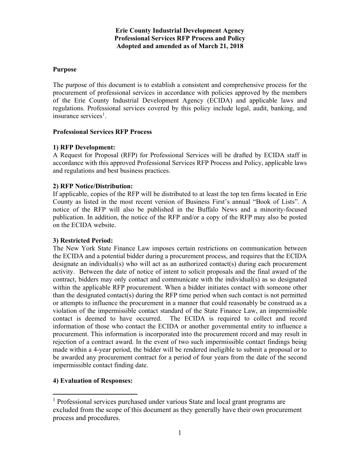#### **Erie County Industrial Development Agency Professional Services RFP Process and Policy Adopted and amended as of March 21, 2018**

### **Purpose**

The purpose of this document is to establish a consistent and comprehensive process for the procurement of professional services in accordance with policies approved by the members of the Erie County Industrial Development Agency (ECIDA) and applicable laws and regulations. Professional services covered by this policy include legal, audit, banking, and insurance services<sup>[1](#page-0-0)</sup>.

#### **Professional Services RFP Process**

#### **1) RFP Development:**

A Request for Proposal (RFP) for Professional Services will be drafted by ECIDA staff in accordance with this approved Professional Services RFP Process and Policy, applicable laws and regulations and best business practices.

# **2) RFP Notice/Distribution:**

If applicable, copies of the RFP will be distributed to at least the top ten firms located in Erie County as listed in the most recent version of Business First's annual "Book of Lists". A notice of the RFP will also be published in the Buffalo News and a minority-focused publication. In addition, the notice of the RFP and/or a copy of the RFP may also be posted on the ECIDA website.

# **3) Restricted Period:**

The New York State Finance Law imposes certain restrictions on communication between the ECIDA and a potential bidder during a procurement process, and requires that the ECIDA designate an individual(s) who will act as an authorized contact(s) during each procurement activity. Between the date of notice of intent to solicit proposals and the final award of the contract, bidders may only contact and communicate with the individual(s) as so designated within the applicable RFP procurement. When a bidder initiates contact with someone other than the designated contact(s) during the RFP time period when such contact is not permitted or attempts to influence the procurement in a manner that could reasonably be construed as a violation of the impermissible contact standard of the State Finance Law, an impermissible contact is deemed to have occurred. The ECIDA is required to collect and record information of those who contact the ECIDA or another governmental entity to influence a procurement. This information is incorporated into the procurement record and may result in rejection of a contract award. In the event of two such impermissible contact findings being made within a 4-year period, the bidder will be rendered ineligible to submit a proposal or to be awarded any procurement contract for a period of four years from the date of the second impermissible contact finding date.

# **4) Evaluation of Responses:**

<span id="page-0-0"></span><sup>&</sup>lt;sup>1</sup> Professional services purchased under various State and local grant programs are excluded from the scope of this document as they generally have their own procurement process and procedures.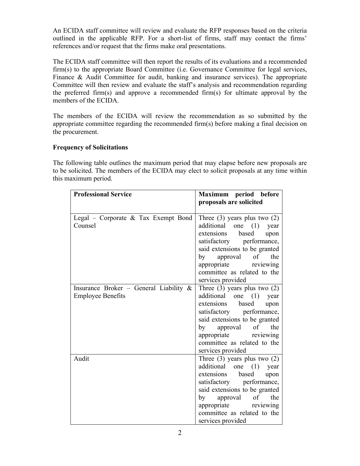An ECIDA staff committee will review and evaluate the RFP responses based on the criteria outlined in the applicable RFP. For a short-list of firms, staff may contact the firms' references and/or request that the firms make oral presentations.

The ECIDA staff committee will then report the results of its evaluations and a recommended firm(s) to the appropriate Board Committee (i.e. Governance Committee for legal services, Finance & Audit Committee for audit, banking and insurance services). The appropriate Committee will then review and evaluate the staff's analysis and recommendation regarding the preferred firm(s) and approve a recommended firm(s) for ultimate approval by the members of the ECIDA.

The members of the ECIDA will review the recommendation as so submitted by the appropriate committee regarding the recommended firm(s) before making a final decision on the procurement.

# **Frequency of Solicitations**

The following table outlines the maximum period that may elapse before new proposals are to be solicited. The members of the ECIDA may elect to solicit proposals at any time within this maximum period.

| <b>Professional Service</b>                       | Maximum period before<br>proposals are solicited       |
|---------------------------------------------------|--------------------------------------------------------|
|                                                   |                                                        |
| Legal – Corporate $\&$ Tax Exempt Bond<br>Counsel | Three $(3)$ years plus two $(2)$                       |
|                                                   | additional one (1)<br>year<br>extensions based<br>upon |
|                                                   | satisfactory performance,                              |
|                                                   | said extensions to be granted                          |
|                                                   | approval of the<br>by                                  |
|                                                   | appropriate reviewing                                  |
|                                                   | committee as related to the                            |
|                                                   | services provided                                      |
| Insurance Broker - General Liability $\&$         | Three $(3)$ years plus two $(2)$                       |
| <b>Employee Benefits</b>                          | additional one (1) year                                |
|                                                   | extensions based<br>upon                               |
|                                                   | satisfactory performance,                              |
|                                                   | said extensions to be granted<br>by approval of the    |
|                                                   | appropriate reviewing                                  |
|                                                   | committee as related to the                            |
|                                                   | services provided                                      |
| Audit                                             | Three $(3)$ years plus two $(2)$                       |
|                                                   | additional one (1) year                                |
|                                                   | extensions based upon                                  |
|                                                   | satisfactory performance,                              |
|                                                   | said extensions to be granted                          |
|                                                   | by approval of the                                     |
|                                                   | appropriate reviewing                                  |
|                                                   | committee as related to the                            |
|                                                   | services provided                                      |